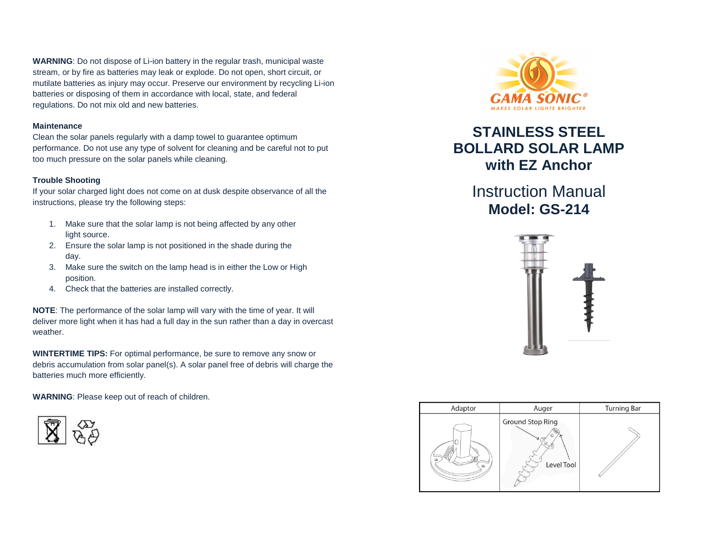**WARNING**: Do not dispose of Li-ion battery in the regular trash, municipal waste stream, or by fire as batteries may leak or explode. Do not open, short circuit, or mutilate batteries as injury may occur. Preserve our environment by recycling Li-ion batteries or disposing of them in accordance with local, state, and federal regulations. Do not mix old and new batteries.

# **Maintenance**

Clean the solar panels regularly with a damp towel to guarantee optimum performance. Do not use any type of solvent for cleaning and be careful not to put too much pressure on the solar panels while cleaning.

# **Trouble Shooting**

If your solar charged light does not come on at dusk despite observance of all the instructions, please try the following steps:

- 1. Make sure that the solar lamp is not being affected by any other light source.
- 2. Ensure the solar lamp is not positioned in the shade during the day.
- 3. Make sure the switch on the lamp head is in either the Low or High position.
- 4. Check that the batteries are installed correctly.

**NOTE**: The performance of the solar lamp will vary with the time of year. It will deliver more light when it has had a full day in the sun rather than a day in overcast weather.

**WINTERTIME TIPS:** For optimal performance, be sure to remove any snow or debris accumulation from solar panel(s). A solar panel free of debris will charge the batteries much more efficiently.

**WARNING**: Please keep out of reach of children.





# **STAINLESS STEEL BOLLARD SOLAR LAMP with EZ Anchor**

Instruction Manual **Model: GS-214**